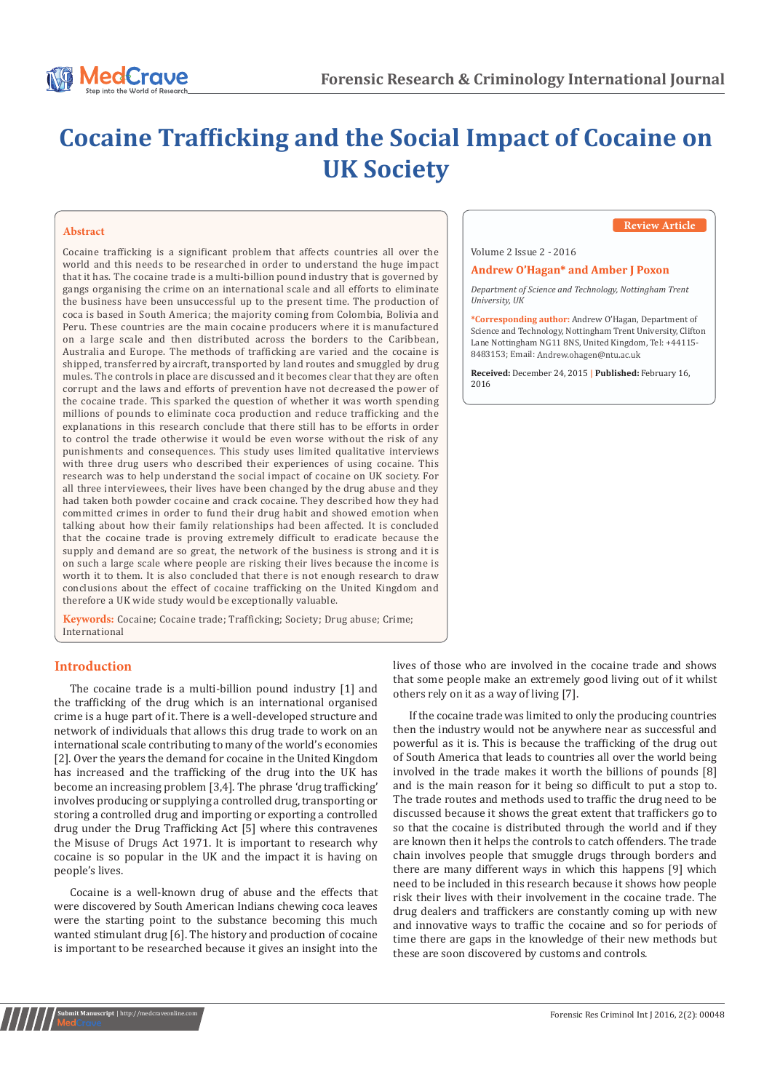

# **Cocaine Trafficking and the Social Impact of Cocaine on UK Society**

## **Abstract**

Cocaine trafficking is a significant problem that affects countries all over the world and this needs to be researched in order to understand the huge impact that it has. The cocaine trade is a multi-billion pound industry that is governed by gangs organising the crime on an international scale and all efforts to eliminate the business have been unsuccessful up to the present time. The production of coca is based in South America; the majority coming from Colombia, Bolivia and Peru. These countries are the main cocaine producers where it is manufactured on a large scale and then distributed across the borders to the Caribbean, Australia and Europe. The methods of trafficking are varied and the cocaine is shipped, transferred by aircraft, transported by land routes and smuggled by drug mules. The controls in place are discussed and it becomes clear that they are often corrupt and the laws and efforts of prevention have not decreased the power of the cocaine trade. This sparked the question of whether it was worth spending millions of pounds to eliminate coca production and reduce trafficking and the explanations in this research conclude that there still has to be efforts in order to control the trade otherwise it would be even worse without the risk of any punishments and consequences. This study uses limited qualitative interviews with three drug users who described their experiences of using cocaine. This research was to help understand the social impact of cocaine on UK society. For all three interviewees, their lives have been changed by the drug abuse and they had taken both powder cocaine and crack cocaine. They described how they had committed crimes in order to fund their drug habit and showed emotion when talking about how their family relationships had been affected. It is concluded that the cocaine trade is proving extremely difficult to eradicate because the supply and demand are so great, the network of the business is strong and it is on such a large scale where people are risking their lives because the income is worth it to them. It is also concluded that there is not enough research to draw conclusions about the effect of cocaine trafficking on the United Kingdom and therefore a UK wide study would be exceptionally valuable.

**Keywords:** Cocaine; Cocaine trade; Trafficking; Society; Drug abuse; Crime; International

# **Introduction**

The cocaine trade is a multi-billion pound industry [1] and the trafficking of the drug which is an international organised crime is a huge part of it. There is a well-developed structure and network of individuals that allows this drug trade to work on an international scale contributing to many of the world's economies [2]. Over the years the demand for cocaine in the United Kingdom has increased and the trafficking of the drug into the UK has become an increasing problem [3,4]. The phrase 'drug trafficking' involves producing or supplying a controlled drug, transporting or storing a controlled drug and importing or exporting a controlled drug under the Drug Trafficking Act [5] where this contravenes the Misuse of Drugs Act 1971. It is important to research why cocaine is so popular in the UK and the impact it is having on people's lives.

Cocaine is a well-known drug of abuse and the effects that were discovered by South American Indians chewing coca leaves were the starting point to the substance becoming this much wanted stimulant drug [6]. The history and production of cocaine is important to be researched because it gives an insight into the

## **Review Article**

Volume 2 Issue 2 - 2016

#### **Andrew O'Hagan\* and Amber J Poxon**

*Department of Science and Technology, Nottingham Trent University, UK*

**\*Corresponding author:** Andrew O'Hagan, Department of Science and Technology, Nottingham Trent University, Clifton Lane Nottingham NG11 8NS, United Kingdom, Tel: +44115- 8483153; Email:

**Received:** December 24, 2015 **| Published:** February 16, 2016

lives of those who are involved in the cocaine trade and shows that some people make an extremely good living out of it whilst others rely on it as a way of living [7].

If the cocaine trade was limited to only the producing countries then the industry would not be anywhere near as successful and powerful as it is. This is because the trafficking of the drug out of South America that leads to countries all over the world being involved in the trade makes it worth the billions of pounds [8] and is the main reason for it being so difficult to put a stop to. The trade routes and methods used to traffic the drug need to be discussed because it shows the great extent that traffickers go to so that the cocaine is distributed through the world and if they are known then it helps the controls to catch offenders. The trade chain involves people that smuggle drugs through borders and there are many different ways in which this happens [9] which need to be included in this research because it shows how people risk their lives with their involvement in the cocaine trade. The drug dealers and traffickers are constantly coming up with new and innovative ways to traffic the cocaine and so for periods of time there are gaps in the knowledge of their new methods but these are soon discovered by customs and controls.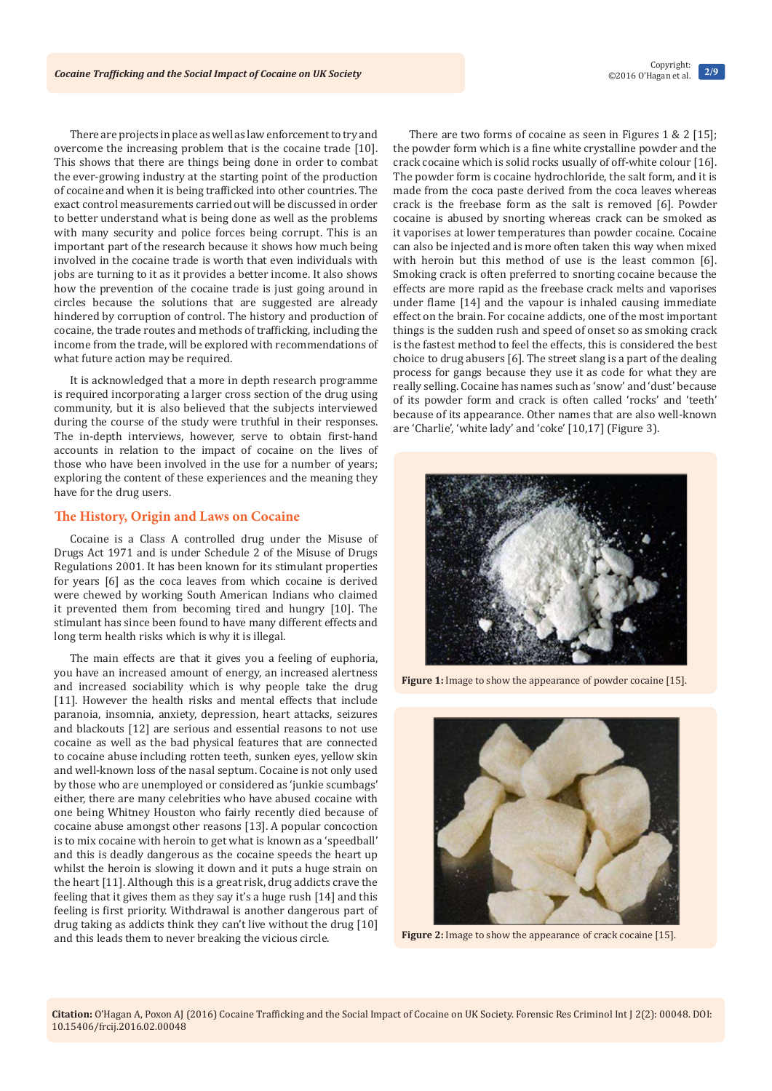There are projects in place as well as law enforcement to try and overcome the increasing problem that is the cocaine trade [10]. This shows that there are things being done in order to combat the ever-growing industry at the starting point of the production of cocaine and when it is being trafficked into other countries. The exact control measurements carried out will be discussed in order to better understand what is being done as well as the problems with many security and police forces being corrupt. This is an important part of the research because it shows how much being involved in the cocaine trade is worth that even individuals with jobs are turning to it as it provides a better income. It also shows how the prevention of the cocaine trade is just going around in circles because the solutions that are suggested are already hindered by corruption of control. The history and production of cocaine, the trade routes and methods of trafficking, including the income from the trade, will be explored with recommendations of what future action may be required.

It is acknowledged that a more in depth research programme is required incorporating a larger cross section of the drug using community, but it is also believed that the subjects interviewed during the course of the study were truthful in their responses. The in-depth interviews, however, serve to obtain first-hand accounts in relation to the impact of cocaine on the lives of those who have been involved in the use for a number of years; exploring the content of these experiences and the meaning they have for the drug users.

## **The History, Origin and Laws on Cocaine**

Cocaine is a Class A controlled drug under the Misuse of Drugs Act 1971 and is under Schedule 2 of the Misuse of Drugs Regulations 2001. It has been known for its stimulant properties for years [6] as the coca leaves from which cocaine is derived were chewed by working South American Indians who claimed it prevented them from becoming tired and hungry [10]. The stimulant has since been found to have many different effects and long term health risks which is why it is illegal.

The main effects are that it gives you a feeling of euphoria, you have an increased amount of energy, an increased alertness and increased sociability which is why people take the drug [11]. However the health risks and mental effects that include paranoia, insomnia, anxiety, depression, heart attacks, seizures and blackouts [12] are serious and essential reasons to not use cocaine as well as the bad physical features that are connected to cocaine abuse including rotten teeth, sunken eyes, yellow skin and well-known loss of the nasal septum. Cocaine is not only used by those who are unemployed or considered as 'junkie scumbags' either, there are many celebrities who have abused cocaine with one being Whitney Houston who fairly recently died because of cocaine abuse amongst other reasons [13]. A popular concoction is to mix cocaine with heroin to get what is known as a 'speedball' and this is deadly dangerous as the cocaine speeds the heart up whilst the heroin is slowing it down and it puts a huge strain on the heart [11]. Although this is a great risk, drug addicts crave the feeling that it gives them as they say it's a huge rush [14] and this feeling is first priority. Withdrawal is another dangerous part of drug taking as addicts think they can't live without the drug [10] and this leads them to never breaking the vicious circle.

There are two forms of cocaine as seen in Figures 1 & 2 [15]; the powder form which is a fine white crystalline powder and the crack cocaine which is solid rocks usually of off-white colour [16]. The powder form is cocaine hydrochloride, the salt form, and it is made from the coca paste derived from the coca leaves whereas crack is the freebase form as the salt is removed [6]. Powder cocaine is abused by snorting whereas crack can be smoked as it vaporises at lower temperatures than powder cocaine. Cocaine can also be injected and is more often taken this way when mixed with heroin but this method of use is the least common [6]. Smoking crack is often preferred to snorting cocaine because the effects are more rapid as the freebase crack melts and vaporises under flame [14] and the vapour is inhaled causing immediate effect on the brain. For cocaine addicts, one of the most important things is the sudden rush and speed of onset so as smoking crack is the fastest method to feel the effects, this is considered the best choice to drug abusers [6]. The street slang is a part of the dealing process for gangs because they use it as code for what they are really selling. Cocaine has names such as 'snow' and 'dust' because of its powder form and crack is often called 'rocks' and 'teeth' because of its appearance. Other names that are also well-known are 'Charlie', 'white lady' and 'coke' [10,17] (Figure 3).



**Figure 1:** Image to show the appearance of powder cocaine [15].



**Figure 2:** Image to show the appearance of crack cocaine [15].

**Citation:** O'Hagan A, Poxon AJ (2016) Cocaine Trafficking and the Social Impact of Cocaine on UK Society. Forensic Res Criminol Int J 2(2): 00048. DOI: [10.15406/frcij.2016.02.00048](http://dx.doi.org/10.15406/frcij.2016.02.00048)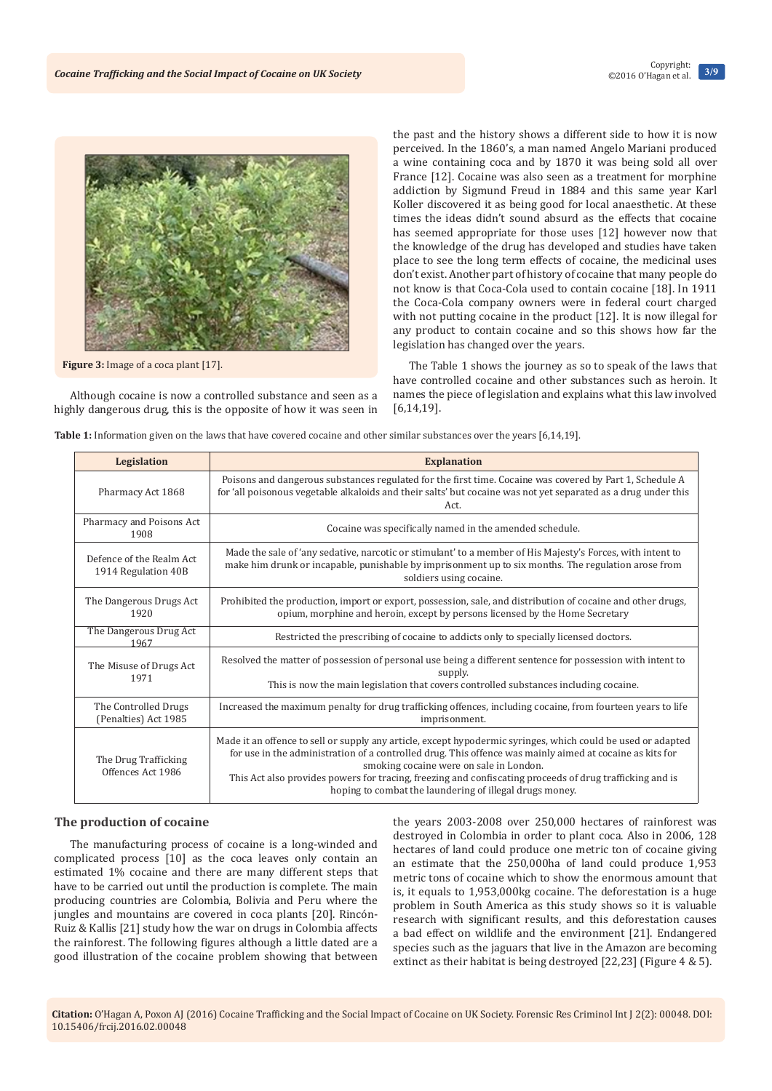

**Figure 3:** Image of a coca plant [17].

Although cocaine is now a controlled substance and seen as a highly dangerous drug, this is the opposite of how it was seen in the past and the history shows a different side to how it is now perceived. In the 1860's, a man named Angelo Mariani produced a wine containing coca and by 1870 it was being sold all over France [12]. Cocaine was also seen as a treatment for morphine addiction by Sigmund Freud in 1884 and this same year Karl Koller discovered it as being good for local anaesthetic. At these times the ideas didn't sound absurd as the effects that cocaine has seemed appropriate for those uses [12] however now that the knowledge of the drug has developed and studies have taken place to see the long term effects of cocaine, the medicinal uses don't exist. Another part of history of cocaine that many people do not know is that Coca-Cola used to contain cocaine [18]. In 1911 the Coca-Cola company owners were in federal court charged with not putting cocaine in the product [12]. It is now illegal for any product to contain cocaine and so this shows how far the legislation has changed over the years.

The Table 1 shows the journey as so to speak of the laws that have controlled cocaine and other substances such as heroin. It names the piece of legislation and explains what this law involved [6,14,19].

**Table 1:** Information given on the laws that have covered cocaine and other similar substances over the years [6,14,19].

| Legislation                                     | <b>Explanation</b>                                                                                                                                                                                                                                                                                                                                                                                                                         |
|-------------------------------------------------|--------------------------------------------------------------------------------------------------------------------------------------------------------------------------------------------------------------------------------------------------------------------------------------------------------------------------------------------------------------------------------------------------------------------------------------------|
| Pharmacy Act 1868                               | Poisons and dangerous substances regulated for the first time. Cocaine was covered by Part 1, Schedule A<br>for 'all poisonous vegetable alkaloids and their salts' but cocaine was not yet separated as a drug under this<br>Act.                                                                                                                                                                                                         |
| Pharmacy and Poisons Act<br>1908                | Cocaine was specifically named in the amended schedule.                                                                                                                                                                                                                                                                                                                                                                                    |
| Defence of the Realm Act<br>1914 Regulation 40B | Made the sale of 'any sedative, narcotic or stimulant' to a member of His Majesty's Forces, with intent to<br>make him drunk or incapable, punishable by imprisonment up to six months. The regulation arose from<br>soldiers using cocaine.                                                                                                                                                                                               |
| The Dangerous Drugs Act<br>1920                 | Prohibited the production, import or export, possession, sale, and distribution of cocaine and other drugs,<br>opium, morphine and heroin, except by persons licensed by the Home Secretary                                                                                                                                                                                                                                                |
| The Dangerous Drug Act<br>1967                  | Restricted the prescribing of cocaine to addicts only to specially licensed doctors.                                                                                                                                                                                                                                                                                                                                                       |
| The Misuse of Drugs Act<br>1971                 | Resolved the matter of possession of personal use being a different sentence for possession with intent to<br>supply.<br>This is now the main legislation that covers controlled substances including cocaine.                                                                                                                                                                                                                             |
| The Controlled Drugs<br>(Penalties) Act 1985    | Increased the maximum penalty for drug trafficking offences, including cocaine, from fourteen years to life<br>imprisonment.                                                                                                                                                                                                                                                                                                               |
| The Drug Trafficking<br>Offences Act 1986       | Made it an offence to sell or supply any article, except hypodermic syringes, which could be used or adapted<br>for use in the administration of a controlled drug. This offence was mainly aimed at cocaine as kits for<br>smoking cocaine were on sale in London.<br>This Act also provides powers for tracing, freezing and confiscating proceeds of drug trafficking and is<br>hoping to combat the laundering of illegal drugs money. |

#### **The production of cocaine**

The manufacturing process of cocaine is a long-winded and complicated process [10] as the coca leaves only contain an estimated 1% cocaine and there are many different steps that have to be carried out until the production is complete. The main producing countries are Colombia, Bolivia and Peru where the jungles and mountains are covered in coca plants [20]. Rincón-Ruiz & Kallis [21] study how the war on drugs in Colombia affects the rainforest. The following figures although a little dated are a good illustration of the cocaine problem showing that between

the years 2003-2008 over 250,000 hectares of rainforest was destroyed in Colombia in order to plant coca. Also in 2006, 128 hectares of land could produce one metric ton of cocaine giving an estimate that the 250,000ha of land could produce 1,953 metric tons of cocaine which to show the enormous amount that is, it equals to 1,953,000kg cocaine. The deforestation is a huge problem in South America as this study shows so it is valuable research with significant results, and this deforestation causes a bad effect on wildlife and the environment [21]. Endangered species such as the jaguars that live in the Amazon are becoming extinct as their habitat is being destroyed [22,23] (Figure 4 & 5).

**Citation:** O'Hagan A, Poxon AJ (2016) Cocaine Trafficking and the Social Impact of Cocaine on UK Society. Forensic Res Criminol Int J 2(2): 00048. DOI: [10.15406/frcij.2016.02.00048](http://dx.doi.org/10.15406/frcij.2016.02.00048)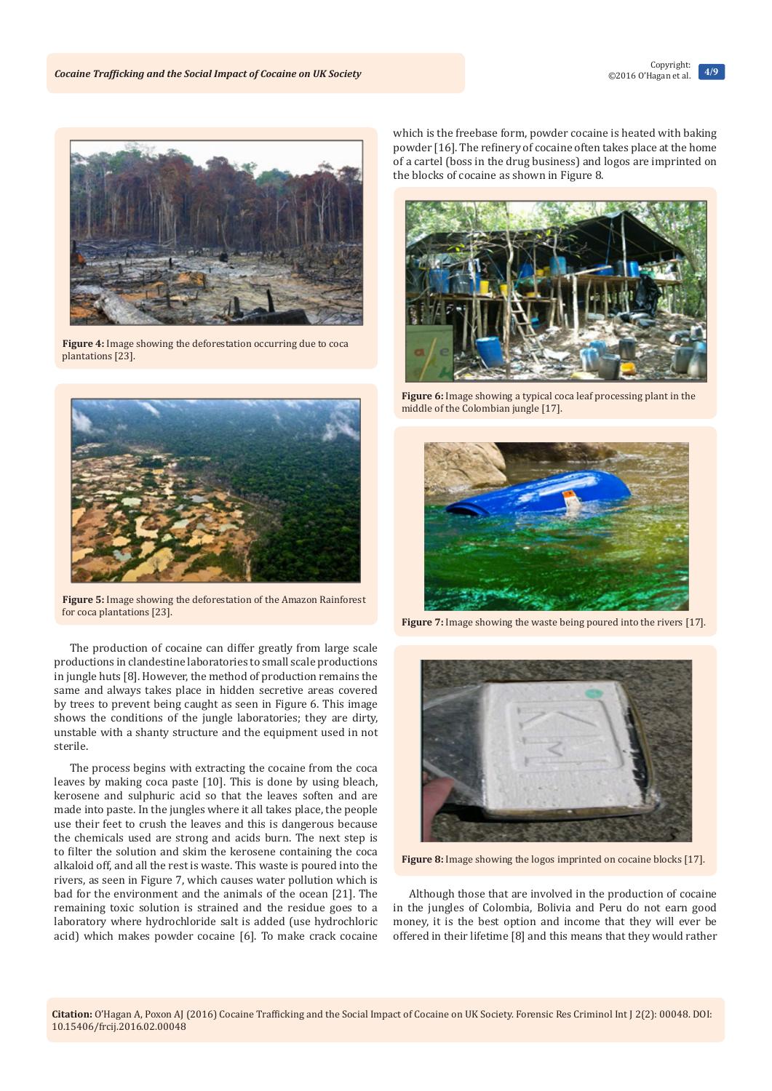

**Figure 4:** Image showing the deforestation occurring due to coca plantations [23].



**Figure 5:** Image showing the deforestation of the Amazon Rainforest for coca plantations [23].

The production of cocaine can differ greatly from large scale productions in clandestine laboratories to small scale productions in jungle huts [8]. However, the method of production remains the same and always takes place in hidden secretive areas covered by trees to prevent being caught as seen in Figure 6. This image shows the conditions of the jungle laboratories; they are dirty, unstable with a shanty structure and the equipment used in not sterile.

The process begins with extracting the cocaine from the coca leaves by making coca paste [10]. This is done by using bleach, kerosene and sulphuric acid so that the leaves soften and are made into paste. In the jungles where it all takes place, the people use their feet to crush the leaves and this is dangerous because the chemicals used are strong and acids burn. The next step is to filter the solution and skim the kerosene containing the coca alkaloid off, and all the rest is waste. This waste is poured into the rivers, as seen in Figure 7, which causes water pollution which is bad for the environment and the animals of the ocean [21]. The remaining toxic solution is strained and the residue goes to a laboratory where hydrochloride salt is added (use hydrochloric acid) which makes powder cocaine [6]. To make crack cocaine which is the freebase form, powder cocaine is heated with baking powder [16]. The refinery of cocaine often takes place at the home of a cartel (boss in the drug business) and logos are imprinted on the blocks of cocaine as shown in Figure 8.



**Figure 6:** Image showing a typical coca leaf processing plant in the middle of the Colombian jungle [17].



**Figure 7:** Image showing the waste being poured into the rivers [17].



**Figure 8:** Image showing the logos imprinted on cocaine blocks [17].

Although those that are involved in the production of cocaine in the jungles of Colombia, Bolivia and Peru do not earn good money, it is the best option and income that they will ever be offered in their lifetime [8] and this means that they would rather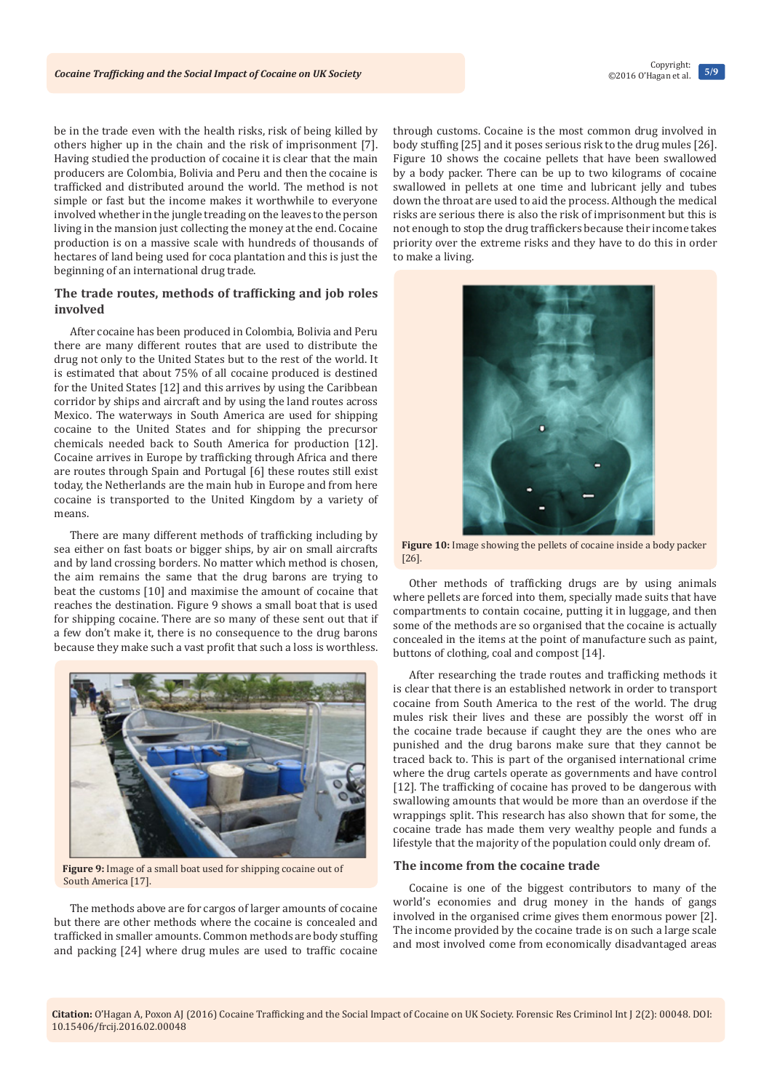be in the trade even with the health risks, risk of being killed by others higher up in the chain and the risk of imprisonment [7]. Having studied the production of cocaine it is clear that the main producers are Colombia, Bolivia and Peru and then the cocaine is trafficked and distributed around the world. The method is not simple or fast but the income makes it worthwhile to everyone involved whether in the jungle treading on the leaves to the person living in the mansion just collecting the money at the end. Cocaine production is on a massive scale with hundreds of thousands of hectares of land being used for coca plantation and this is just the beginning of an international drug trade.

## **The trade routes, methods of trafficking and job roles involved**

After cocaine has been produced in Colombia, Bolivia and Peru there are many different routes that are used to distribute the drug not only to the United States but to the rest of the world. It is estimated that about 75% of all cocaine produced is destined for the United States [12] and this arrives by using the Caribbean corridor by ships and aircraft and by using the land routes across Mexico. The waterways in South America are used for shipping cocaine to the United States and for shipping the precursor chemicals needed back to South America for production [12]. Cocaine arrives in Europe by trafficking through Africa and there are routes through Spain and Portugal [6] these routes still exist today, the Netherlands are the main hub in Europe and from here cocaine is transported to the United Kingdom by a variety of means.

There are many different methods of trafficking including by sea either on fast boats or bigger ships, by air on small aircrafts and by land crossing borders. No matter which method is chosen, the aim remains the same that the drug barons are trying to beat the customs [10] and maximise the amount of cocaine that reaches the destination. Figure 9 shows a small boat that is used for shipping cocaine. There are so many of these sent out that if a few don't make it, there is no consequence to the drug barons because they make such a vast profit that such a loss is worthless.



**Figure 9:** Image of a small boat used for shipping cocaine out of South America [17].

The methods above are for cargos of larger amounts of cocaine but there are other methods where the cocaine is concealed and trafficked in smaller amounts. Common methods are body stuffing and packing [24] where drug mules are used to traffic cocaine through customs. Cocaine is the most common drug involved in body stuffing [25] and it poses serious risk to the drug mules [26]. Figure 10 shows the cocaine pellets that have been swallowed by a body packer. There can be up to two kilograms of cocaine swallowed in pellets at one time and lubricant jelly and tubes down the throat are used to aid the process. Although the medical risks are serious there is also the risk of imprisonment but this is not enough to stop the drug traffickers because their income takes priority over the extreme risks and they have to do this in order to make a living.



**Figure 10:** Image showing the pellets of cocaine inside a body packer [26].

Other methods of trafficking drugs are by using animals where pellets are forced into them, specially made suits that have compartments to contain cocaine, putting it in luggage, and then some of the methods are so organised that the cocaine is actually concealed in the items at the point of manufacture such as paint, buttons of clothing, coal and compost [14].

After researching the trade routes and trafficking methods it is clear that there is an established network in order to transport cocaine from South America to the rest of the world. The drug mules risk their lives and these are possibly the worst off in the cocaine trade because if caught they are the ones who are punished and the drug barons make sure that they cannot be traced back to. This is part of the organised international crime where the drug cartels operate as governments and have control [12]. The trafficking of cocaine has proved to be dangerous with swallowing amounts that would be more than an overdose if the wrappings split. This research has also shown that for some, the cocaine trade has made them very wealthy people and funds a lifestyle that the majority of the population could only dream of.

## **The income from the cocaine trade**

Cocaine is one of the biggest contributors to many of the world's economies and drug money in the hands of gangs involved in the organised crime gives them enormous power [2]. The income provided by the cocaine trade is on such a large scale and most involved come from economically disadvantaged areas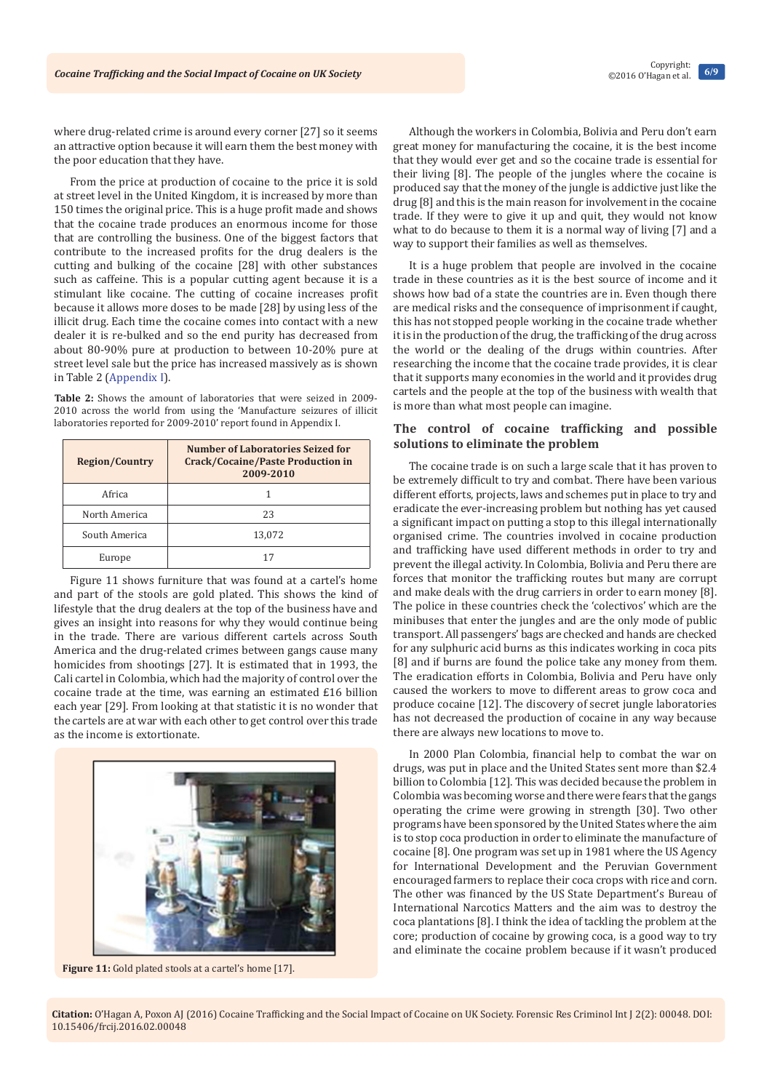where drug-related crime is around every corner [27] so it seems an attractive option because it will earn them the best money with the poor education that they have.

From the price at production of cocaine to the price it is sold at street level in the United Kingdom, it is increased by more than 150 times the original price. This is a huge profit made and shows that the cocaine trade produces an enormous income for those that are controlling the business. One of the biggest factors that contribute to the increased profits for the drug dealers is the cutting and bulking of the cocaine [28] with other substances such as caffeine. This is a popular cutting agent because it is a stimulant like cocaine. The cutting of cocaine increases profit because it allows more doses to be made [28] by using less of the illicit drug. Each time the cocaine comes into contact with a new dealer it is re-bulked and so the end purity has decreased from about 80-90% pure at production to between 10-20% pure at street level sale but the price has increased massively as is shown in Table 2 ([Appendix I](http://medcraveonline.com/FRCIJ/FRCIJ-02-00048A.zip)).

**Table 2:** Shows the amount of laboratories that were seized in 2009- 2010 across the world from using the 'Manufacture seizures of illicit laboratories reported for 2009-2010' report found in Appendix I.

| <b>Region/Country</b> | Number of Laboratories Seized for<br><b>Crack/Cocaine/Paste Production in</b><br>2009-2010 |
|-----------------------|--------------------------------------------------------------------------------------------|
| Africa                |                                                                                            |
| North America         | 23                                                                                         |
| South America         | 13,072                                                                                     |
| Europe                | 17                                                                                         |

Figure 11 shows furniture that was found at a cartel's home and part of the stools are gold plated. This shows the kind of lifestyle that the drug dealers at the top of the business have and gives an insight into reasons for why they would continue being in the trade. There are various different cartels across South America and the drug-related crimes between gangs cause many homicides from shootings [27]. It is estimated that in 1993, the Cali cartel in Colombia, which had the majority of control over the cocaine trade at the time, was earning an estimated £16 billion each year [29]. From looking at that statistic it is no wonder that the cartels are at war with each other to get control over this trade as the income is extortionate.



Figure 11: Gold plated stools at a cartel's home [17].

Although the workers in Colombia, Bolivia and Peru don't earn great money for manufacturing the cocaine, it is the best income that they would ever get and so the cocaine trade is essential for their living [8]. The people of the jungles where the cocaine is produced say that the money of the jungle is addictive just like the drug [8] and this is the main reason for involvement in the cocaine trade. If they were to give it up and quit, they would not know what to do because to them it is a normal way of living [7] and a way to support their families as well as themselves.

It is a huge problem that people are involved in the cocaine trade in these countries as it is the best source of income and it shows how bad of a state the countries are in. Even though there are medical risks and the consequence of imprisonment if caught, this has not stopped people working in the cocaine trade whether it is in the production of the drug, the trafficking of the drug across the world or the dealing of the drugs within countries. After researching the income that the cocaine trade provides, it is clear that it supports many economies in the world and it provides drug cartels and the people at the top of the business with wealth that is more than what most people can imagine.

## **The control of cocaine trafficking and possible solutions to eliminate the problem**

The cocaine trade is on such a large scale that it has proven to be extremely difficult to try and combat. There have been various different efforts, projects, laws and schemes put in place to try and eradicate the ever-increasing problem but nothing has yet caused a significant impact on putting a stop to this illegal internationally organised crime. The countries involved in cocaine production and trafficking have used different methods in order to try and prevent the illegal activity. In Colombia, Bolivia and Peru there are forces that monitor the trafficking routes but many are corrupt and make deals with the drug carriers in order to earn money [8]. The police in these countries check the 'colectivos' which are the minibuses that enter the jungles and are the only mode of public transport. All passengers' bags are checked and hands are checked for any sulphuric acid burns as this indicates working in coca pits [8] and if burns are found the police take any money from them. The eradication efforts in Colombia, Bolivia and Peru have only caused the workers to move to different areas to grow coca and produce cocaine [12]. The discovery of secret jungle laboratories has not decreased the production of cocaine in any way because there are always new locations to move to.

In 2000 Plan Colombia, financial help to combat the war on drugs, was put in place and the United States sent more than \$2.4 billion to Colombia [12]. This was decided because the problem in Colombia was becoming worse and there were fears that the gangs operating the crime were growing in strength [30]. Two other programs have been sponsored by the United States where the aim is to stop coca production in order to eliminate the manufacture of cocaine [8]. One program was set up in 1981 where the US Agency for International Development and the Peruvian Government encouraged farmers to replace their coca crops with rice and corn. The other was financed by the US State Department's Bureau of International Narcotics Matters and the aim was to destroy the coca plantations [8]. I think the idea of tackling the problem at the core; production of cocaine by growing coca, is a good way to try and eliminate the cocaine problem because if it wasn't produced

**Citation:** O'Hagan A, Poxon AJ (2016) Cocaine Trafficking and the Social Impact of Cocaine on UK Society. Forensic Res Criminol Int J 2(2): 00048. DOI: [10.15406/frcij.2016.02.00048](http://dx.doi.org/10.15406/frcij.2016.02.00048)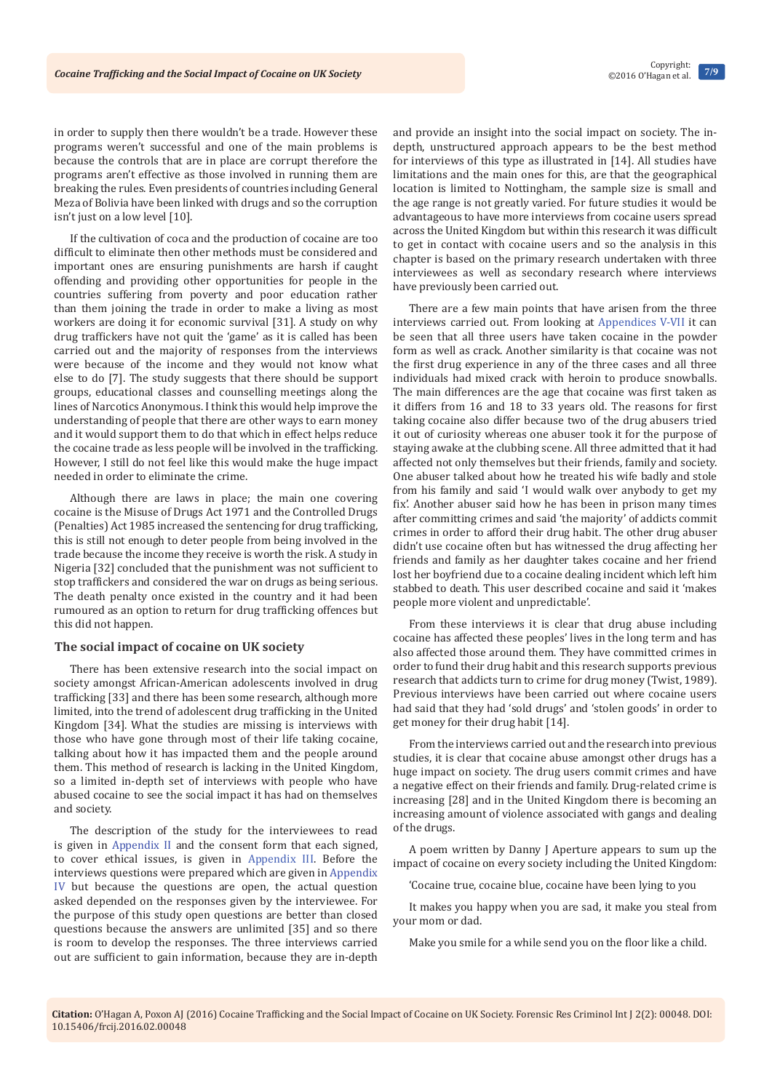in order to supply then there wouldn't be a trade. However these programs weren't successful and one of the main problems is because the controls that are in place are corrupt therefore the programs aren't effective as those involved in running them are breaking the rules. Even presidents of countries including General Meza of Bolivia have been linked with drugs and so the corruption isn't just on a low level [10].

If the cultivation of coca and the production of cocaine are too difficult to eliminate then other methods must be considered and important ones are ensuring punishments are harsh if caught offending and providing other opportunities for people in the countries suffering from poverty and poor education rather than them joining the trade in order to make a living as most workers are doing it for economic survival [31]. A study on why drug traffickers have not quit the 'game' as it is called has been carried out and the majority of responses from the interviews were because of the income and they would not know what else to do [7]. The study suggests that there should be support groups, educational classes and counselling meetings along the lines of Narcotics Anonymous. I think this would help improve the understanding of people that there are other ways to earn money and it would support them to do that which in effect helps reduce the cocaine trade as less people will be involved in the trafficking. However, I still do not feel like this would make the huge impact needed in order to eliminate the crime.

Although there are laws in place; the main one covering cocaine is the Misuse of Drugs Act 1971 and the Controlled Drugs (Penalties) Act 1985 increased the sentencing for drug trafficking, this is still not enough to deter people from being involved in the trade because the income they receive is worth the risk. A study in Nigeria [32] concluded that the punishment was not sufficient to stop traffickers and considered the war on drugs as being serious. The death penalty once existed in the country and it had been rumoured as an option to return for drug trafficking offences but this did not happen.

### **The social impact of cocaine on UK society**

There has been extensive research into the social impact on society amongst African-American adolescents involved in drug trafficking [33] and there has been some research, although more limited, into the trend of adolescent drug trafficking in the United Kingdom [34]. What the studies are missing is interviews with those who have gone through most of their life taking cocaine, talking about how it has impacted them and the people around them. This method of research is lacking in the United Kingdom, so a limited in-depth set of interviews with people who have abused cocaine to see the social impact it has had on themselves and society.

The description of the study for the interviewees to read is given in [Appendix II](http://medcraveonline.com/FRCIJ/FRCIJ-02-00048A.zip) and the consent form that each signed, to cover ethical issues, is given in [Appendix III](http://medcraveonline.com/FRCIJ/FRCIJ-02-00048A.zip). Before the interviews questions were prepared which are given in [Appendix](http://medcraveonline.com/FRCIJ/FRCIJ-02-00048A.zip)  [IV](http://medcraveonline.com/FRCIJ/FRCIJ-02-00048A.zip) but because the questions are open, the actual question asked depended on the responses given by the interviewee. For the purpose of this study open questions are better than closed questions because the answers are unlimited [35] and so there is room to develop the responses. The three interviews carried out are sufficient to gain information, because they are in-depth

and provide an insight into the social impact on society. The indepth, unstructured approach appears to be the best method for interviews of this type as illustrated in [14]. All studies have limitations and the main ones for this, are that the geographical location is limited to Nottingham, the sample size is small and the age range is not greatly varied. For future studies it would be advantageous to have more interviews from cocaine users spread across the United Kingdom but within this research it was difficult to get in contact with cocaine users and so the analysis in this chapter is based on the primary research undertaken with three interviewees as well as secondary research where interviews have previously been carried out.

There are a few main points that have arisen from the three interviews carried out. From looking at [Appendices V-VII](http://medcraveonline.com/FRCIJ/FRCIJ-02-00048A.zip) it can be seen that all three users have taken cocaine in the powder form as well as crack. Another similarity is that cocaine was not the first drug experience in any of the three cases and all three individuals had mixed crack with heroin to produce snowballs. The main differences are the age that cocaine was first taken as it differs from 16 and 18 to 33 years old. The reasons for first taking cocaine also differ because two of the drug abusers tried it out of curiosity whereas one abuser took it for the purpose of staying awake at the clubbing scene. All three admitted that it had affected not only themselves but their friends, family and society. One abuser talked about how he treated his wife badly and stole from his family and said 'I would walk over anybody to get my fix'. Another abuser said how he has been in prison many times after committing crimes and said 'the majority' of addicts commit crimes in order to afford their drug habit. The other drug abuser didn't use cocaine often but has witnessed the drug affecting her friends and family as her daughter takes cocaine and her friend lost her boyfriend due to a cocaine dealing incident which left him stabbed to death. This user described cocaine and said it 'makes people more violent and unpredictable'.

From these interviews it is clear that drug abuse including cocaine has affected these peoples' lives in the long term and has also affected those around them. They have committed crimes in order to fund their drug habit and this research supports previous research that addicts turn to crime for drug money (Twist, 1989). Previous interviews have been carried out where cocaine users had said that they had 'sold drugs' and 'stolen goods' in order to get money for their drug habit [14].

From the interviews carried out and the research into previous studies, it is clear that cocaine abuse amongst other drugs has a huge impact on society. The drug users commit crimes and have a negative effect on their friends and family. Drug-related crime is increasing [28] and in the United Kingdom there is becoming an increasing amount of violence associated with gangs and dealing of the drugs.

A poem written by Danny J Aperture appears to sum up the impact of cocaine on every society including the United Kingdom:

'Cocaine true, cocaine blue, cocaine have been lying to you

It makes you happy when you are sad, it make you steal from your mom or dad.

Make you smile for a while send you on the floor like a child.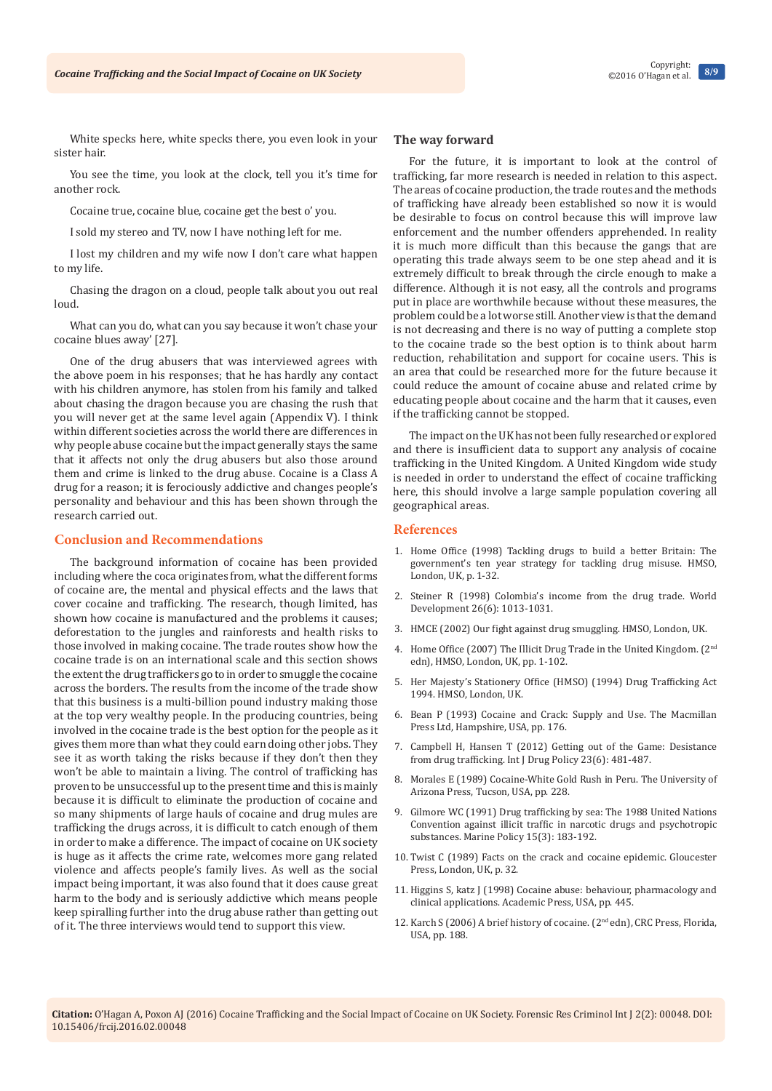White specks here, white specks there, you even look in your sister hair.

You see the time, you look at the clock, tell you it's time for another rock.

Cocaine true, cocaine blue, cocaine get the best o' you.

I sold my stereo and TV, now I have nothing left for me.

I lost my children and my wife now I don't care what happen to my life.

Chasing the dragon on a cloud, people talk about you out real loud.

What can you do, what can you say because it won't chase your cocaine blues away' [27].

One of the drug abusers that was interviewed agrees with the above poem in his responses; that he has hardly any contact with his children anymore, has stolen from his family and talked about chasing the dragon because you are chasing the rush that you will never get at the same level again (Appendix V). I think within different societies across the world there are differences in why people abuse cocaine but the impact generally stays the same that it affects not only the drug abusers but also those around them and crime is linked to the drug abuse. Cocaine is a Class A drug for a reason; it is ferociously addictive and changes people's personality and behaviour and this has been shown through the research carried out.

## **Conclusion and Recommendations**

The background information of cocaine has been provided including where the coca originates from, what the different forms of cocaine are, the mental and physical effects and the laws that cover cocaine and trafficking. The research, though limited, has shown how cocaine is manufactured and the problems it causes; deforestation to the jungles and rainforests and health risks to those involved in making cocaine. The trade routes show how the cocaine trade is on an international scale and this section shows the extent the drug traffickers go to in order to smuggle the cocaine across the borders. The results from the income of the trade show that this business is a multi-billion pound industry making those at the top very wealthy people. In the producing countries, being involved in the cocaine trade is the best option for the people as it gives them more than what they could earn doing other jobs. They see it as worth taking the risks because if they don't then they won't be able to maintain a living. The control of trafficking has proven to be unsuccessful up to the present time and this is mainly because it is difficult to eliminate the production of cocaine and so many shipments of large hauls of cocaine and drug mules are trafficking the drugs across, it is difficult to catch enough of them in order to make a difference. The impact of cocaine on UK society is huge as it affects the crime rate, welcomes more gang related violence and affects people's family lives. As well as the social impact being important, it was also found that it does cause great harm to the body and is seriously addictive which means people keep spiralling further into the drug abuse rather than getting out of it. The three interviews would tend to support this view.

#### **The way forward**

For the future, it is important to look at the control of trafficking, far more research is needed in relation to this aspect. The areas of cocaine production, the trade routes and the methods of trafficking have already been established so now it is would be desirable to focus on control because this will improve law enforcement and the number offenders apprehended. In reality it is much more difficult than this because the gangs that are operating this trade always seem to be one step ahead and it is extremely difficult to break through the circle enough to make a difference. Although it is not easy, all the controls and programs put in place are worthwhile because without these measures, the problem could be a lot worse still. Another view is that the demand is not decreasing and there is no way of putting a complete stop to the cocaine trade so the best option is to think about harm reduction, rehabilitation and support for cocaine users. This is an area that could be researched more for the future because it could reduce the amount of cocaine abuse and related crime by educating people about cocaine and the harm that it causes, even if the trafficking cannot be stopped.

The impact on the UK has not been fully researched or explored and there is insufficient data to support any analysis of cocaine trafficking in the United Kingdom. A United Kingdom wide study is needed in order to understand the effect of cocaine trafficking here, this should involve a large sample population covering all geographical areas.

### **References**

- 1. [Home Office \(1998\) Tackling drugs to build a better Britain: The](https://www.gov.uk/government/uploads/system/uploads/attachment_data/file/259785/3945.pdf)  [government's ten year strategy for tackling drug misuse. HMSO,](https://www.gov.uk/government/uploads/system/uploads/attachment_data/file/259785/3945.pdf)  [London, UK, p. 1-32.](https://www.gov.uk/government/uploads/system/uploads/attachment_data/file/259785/3945.pdf)
- 2. [Steiner R \(1998\) Colombia's income from the drug trade. World](http://www.sciencedirect.com/science/article/pii/S0305750X9800028X)  [Development 26\(6\): 1013-1031.](http://www.sciencedirect.com/science/article/pii/S0305750X9800028X)
- 3. HMCE (2002) Our fight against drug smuggling. HMSO, London, UK.
- 4. [Home Office \(2007\) The Illicit Drug Trade in the United Kingdom. \(](http://webarchive.nationalarchives.gov.uk/20110220105210/rds.homeoffice.gov.uk/rds/pdfs07/rdsolr2007.pdf)2<sup>nd</sup> [edn\), HMSO, London, UK, pp. 1-102.](http://webarchive.nationalarchives.gov.uk/20110220105210/rds.homeoffice.gov.uk/rds/pdfs07/rdsolr2007.pdf)
- 5. [Her Majesty's Stationery Office \(HMSO\) \(1994\) Drug Trafficking Act](http://www.ukcia.org/pollaw/lawlibrary/drugtraffickingact1994.php)  [1994. HMSO, London, UK.](http://www.ukcia.org/pollaw/lawlibrary/drugtraffickingact1994.php)
- 6. [Bean P \(1993\) Cocaine and Crack: Supply and Use. The Macmillan](https://www.library.yorku.ca/find/Record/1149825)  [Press Ltd, Hampshire, USA, pp. 176.](https://www.library.yorku.ca/find/Record/1149825)
- 7. [Campbell H, Hansen T \(2012\) Getting out of the Game: Desistance](http://www.ncbi.nlm.nih.gov/pubmed/22579216)  [from drug trafficking. Int J Drug Policy 23\(6\): 481-487.](http://www.ncbi.nlm.nih.gov/pubmed/22579216)
- 8. [Morales E \(1989\) Cocaine-White Gold Rush in Peru. The University of](http://www.torontopubliclibrary.ca/detail.jsp?Entt=RDM1589987&R=1589987)  [Arizona Press, Tucson, USA, pp. 228.](http://www.torontopubliclibrary.ca/detail.jsp?Entt=RDM1589987&R=1589987)
- 9. [Gilmore WC \(1991\) Drug trafficking by sea: The 1988 United Nations](http://www.sciencedirect.com/science/article/pii/0308597X9190061F)  [Convention against illicit traffic in narcotic drugs and psychotropic](http://www.sciencedirect.com/science/article/pii/0308597X9190061F)  substances. [Marine Policy 15\(3\): 183-192.](http://www.sciencedirect.com/science/article/pii/0308597X9190061F)
- 10. Twist C (1989) Facts on the crack and cocaine epidemic. Gloucester Press, London, UK, p. 32.
- 11. [Higgins S, katz J \(1998\) Cocaine abuse: behaviour, pharmacology and](http://catalog.hathitrust.org/Record/003993587)  clinical applications. [Academic Press, USA, pp. 445.](http://catalog.hathitrust.org/Record/003993587)
- 12. [Karch S \(2006\) A brief history of cocaine. \(2](http://link.crlibrary.org/portal/A-brief-history-of-cocaine--from-Inca-monarchs/IyW7vXSFAzg/)<sup>nd</sup> edn), CRC Press, Florida, [USA, pp. 188.](http://link.crlibrary.org/portal/A-brief-history-of-cocaine--from-Inca-monarchs/IyW7vXSFAzg/)